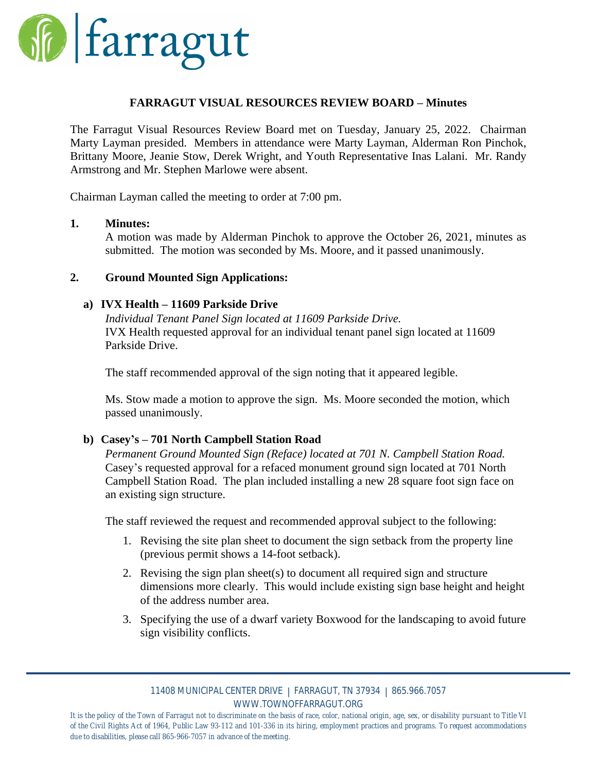

### **FARRAGUT VISUAL RESOURCES REVIEW BOARD – Minutes**

The Farragut Visual Resources Review Board met on Tuesday, January 25, 2022. Chairman Marty Layman presided. Members in attendance were Marty Layman, Alderman Ron Pinchok, Brittany Moore, Jeanie Stow, Derek Wright, and Youth Representative Inas Lalani. Mr. Randy Armstrong and Mr. Stephen Marlowe were absent.

Chairman Layman called the meeting to order at 7:00 pm.

#### **1. Minutes:**

A motion was made by Alderman Pinchok to approve the October 26, 2021, minutes as submitted. The motion was seconded by Ms. Moore, and it passed unanimously.

### **2. Ground Mounted Sign Applications:**

#### **a) IVX Health – 11609 Parkside Drive**

*Individual Tenant Panel Sign located at 11609 Parkside Drive.* IVX Health requested approval for an individual tenant panel sign located at 11609 Parkside Drive.

The staff recommended approval of the sign noting that it appeared legible.

Ms. Stow made a motion to approve the sign. Ms. Moore seconded the motion, which passed unanimously.

## **b) Casey's – 701 North Campbell Station Road**

*Permanent Ground Mounted Sign (Reface) located at 701 N. Campbell Station Road.* Casey's requested approval for a refaced monument ground sign located at 701 North Campbell Station Road. The plan included installing a new 28 square foot sign face on an existing sign structure.

The staff reviewed the request and recommended approval subject to the following:

- 1. Revising the site plan sheet to document the sign setback from the property line (previous permit shows a 14-foot setback).
- 2. Revising the sign plan sheet(s) to document all required sign and structure dimensions more clearly. This would include existing sign base height and height of the address number area.
- 3. Specifying the use of a dwarf variety Boxwood for the landscaping to avoid future sign visibility conflicts.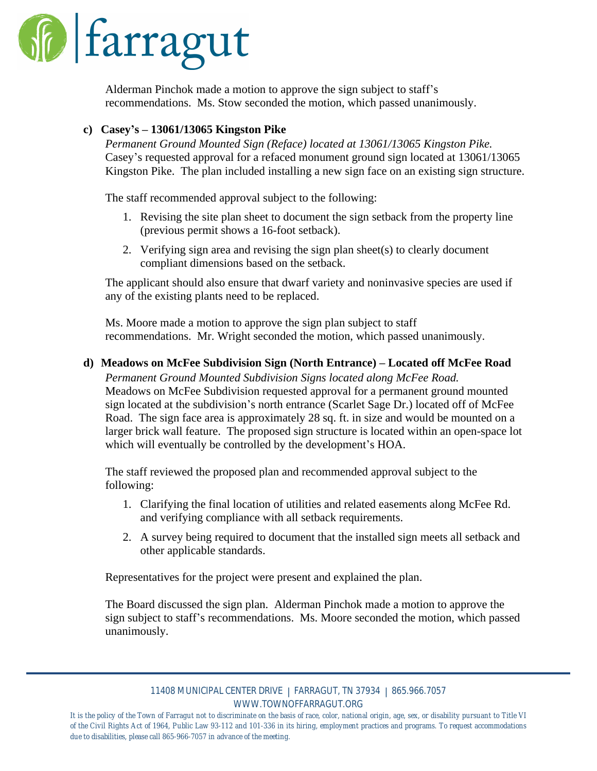

Alderman Pinchok made a motion to approve the sign subject to staff's recommendations. Ms. Stow seconded the motion, which passed unanimously.

## **c) Casey's – 13061/13065 Kingston Pike**

*Permanent Ground Mounted Sign (Reface) located at 13061/13065 Kingston Pike.* Casey's requested approval for a refaced monument ground sign located at 13061/13065 Kingston Pike. The plan included installing a new sign face on an existing sign structure.

The staff recommended approval subject to the following:

- 1. Revising the site plan sheet to document the sign setback from the property line (previous permit shows a 16-foot setback).
- 2. Verifying sign area and revising the sign plan sheet(s) to clearly document compliant dimensions based on the setback.

The applicant should also ensure that dwarf variety and noninvasive species are used if any of the existing plants need to be replaced.

Ms. Moore made a motion to approve the sign plan subject to staff recommendations. Mr. Wright seconded the motion, which passed unanimously.

## **d) Meadows on McFee Subdivision Sign (North Entrance) – Located off McFee Road**

*Permanent Ground Mounted Subdivision Signs located along McFee Road.* Meadows on McFee Subdivision requested approval for a permanent ground mounted sign located at the subdivision's north entrance (Scarlet Sage Dr.) located off of McFee Road. The sign face area is approximately 28 sq. ft. in size and would be mounted on a larger brick wall feature. The proposed sign structure is located within an open-space lot which will eventually be controlled by the development's HOA.

The staff reviewed the proposed plan and recommended approval subject to the following:

- 1. Clarifying the final location of utilities and related easements along McFee Rd. and verifying compliance with all setback requirements.
- 2. A survey being required to document that the installed sign meets all setback and other applicable standards.

Representatives for the project were present and explained the plan.

The Board discussed the sign plan. Alderman Pinchok made a motion to approve the sign subject to staff's recommendations. Ms. Moore seconded the motion, which passed unanimously.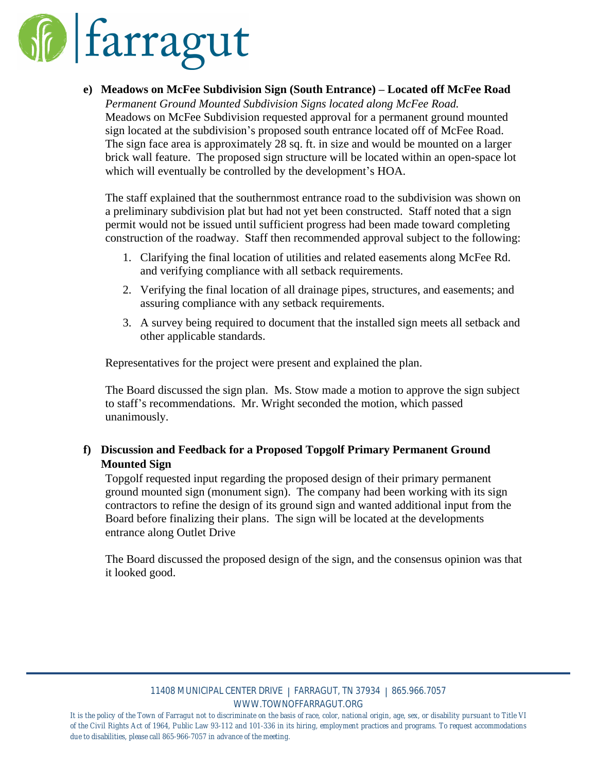

**e) Meadows on McFee Subdivision Sign (South Entrance) – Located off McFee Road**

*Permanent Ground Mounted Subdivision Signs located along McFee Road.* Meadows on McFee Subdivision requested approval for a permanent ground mounted sign located at the subdivision's proposed south entrance located off of McFee Road. The sign face area is approximately 28 sq. ft. in size and would be mounted on a larger brick wall feature. The proposed sign structure will be located within an open-space lot which will eventually be controlled by the development's HOA.

The staff explained that the southernmost entrance road to the subdivision was shown on a preliminary subdivision plat but had not yet been constructed. Staff noted that a sign permit would not be issued until sufficient progress had been made toward completing construction of the roadway. Staff then recommended approval subject to the following:

- 1. Clarifying the final location of utilities and related easements along McFee Rd. and verifying compliance with all setback requirements.
- 2. Verifying the final location of all drainage pipes, structures, and easements; and assuring compliance with any setback requirements.
- 3. A survey being required to document that the installed sign meets all setback and other applicable standards.

Representatives for the project were present and explained the plan.

The Board discussed the sign plan. Ms. Stow made a motion to approve the sign subject to staff's recommendations. Mr. Wright seconded the motion, which passed unanimously.

# **f) Discussion and Feedback for a Proposed Topgolf Primary Permanent Ground Mounted Sign**

Topgolf requested input regarding the proposed design of their primary permanent ground mounted sign (monument sign). The company had been working with its sign contractors to refine the design of its ground sign and wanted additional input from the Board before finalizing their plans. The sign will be located at the developments entrance along Outlet Drive

The Board discussed the proposed design of the sign, and the consensus opinion was that it looked good.

#### 11408 MUNICIPAL CENTER DRIVE | FARRAGUT, TN 37934 | 865.966.7057 WWW.TOWNOFFARRAGUT.ORG

It is the policy of the Town of Farragut not to discriminate on the basis of race, color, national origin, age, sex, or disability pursuant to Title VI of the Civil Rights Act of 1964, Public Law 93-112 and 101-336 in its hiring, employment practices and programs. To request accommodations *due to disabilities, please call 865-966-7057 in advance of the meeting.*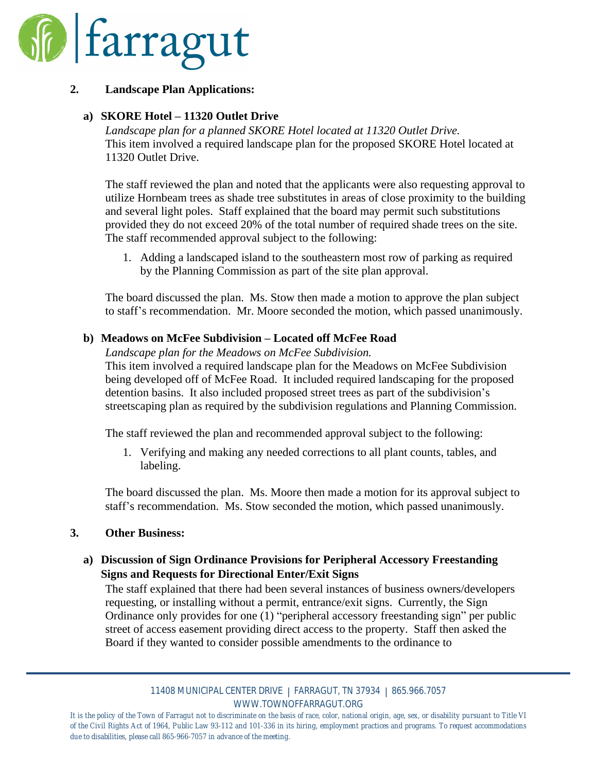

## **2. Landscape Plan Applications:**

## **a) SKORE Hotel – 11320 Outlet Drive**

*Landscape plan for a planned SKORE Hotel located at 11320 Outlet Drive.* This item involved a required landscape plan for the proposed SKORE Hotel located at 11320 Outlet Drive.

The staff reviewed the plan and noted that the applicants were also requesting approval to utilize Hornbeam trees as shade tree substitutes in areas of close proximity to the building and several light poles. Staff explained that the board may permit such substitutions provided they do not exceed 20% of the total number of required shade trees on the site. The staff recommended approval subject to the following:

1. Adding a landscaped island to the southeastern most row of parking as required by the Planning Commission as part of the site plan approval.

The board discussed the plan. Ms. Stow then made a motion to approve the plan subject to staff's recommendation. Mr. Moore seconded the motion, which passed unanimously.

## **b) Meadows on McFee Subdivision – Located off McFee Road**

*Landscape plan for the Meadows on McFee Subdivision.* This item involved a required landscape plan for the Meadows on McFee Subdivision being developed off of McFee Road. It included required landscaping for the proposed detention basins. It also included proposed street trees as part of the subdivision's streetscaping plan as required by the subdivision regulations and Planning Commission.

The staff reviewed the plan and recommended approval subject to the following:

1. Verifying and making any needed corrections to all plant counts, tables, and labeling.

The board discussed the plan. Ms. Moore then made a motion for its approval subject to staff's recommendation. Ms. Stow seconded the motion, which passed unanimously.

## **3. Other Business:**

# **a) Discussion of Sign Ordinance Provisions for Peripheral Accessory Freestanding Signs and Requests for Directional Enter/Exit Signs**

The staff explained that there had been several instances of business owners/developers requesting, or installing without a permit, entrance/exit signs. Currently, the Sign Ordinance only provides for one (1) "peripheral accessory freestanding sign" per public street of access easement providing direct access to the property. Staff then asked the Board if they wanted to consider possible amendments to the ordinance to

It is the policy of the Town of Farragut not to discriminate on the basis of race, color, national origin, age, sex, or disability pursuant to Title VI of the Civil Rights Act of 1964, Public Law 93-112 and 101-336 in its hiring, employment practices and programs. To request accommodations *due to disabilities, please call 865-966-7057 in advance of the meeting.*